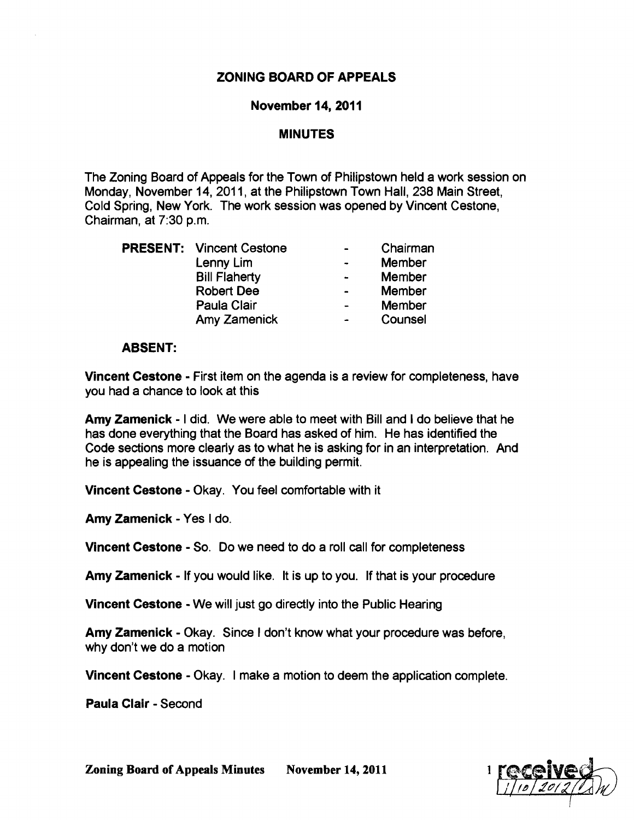# ZONING BOARD OF APPEALS

### November 14,2011

### MINUTES

The Zoning Board of Appeals for the Town of Philipstown held a work session on Monday, November 14, 2011, at the Philipstown Town Hall, 238 Main Street, Cold Spring, New York. The work session was opened by Vincent Cestone, Chairman, at 7:30 p.m.

|  | <b>PRESENT: Vincent Cestone</b> |                | Chairman      |
|--|---------------------------------|----------------|---------------|
|  | Lenny Lim                       |                | Member        |
|  | <b>Bill Flaherty</b>            |                | Member        |
|  | <b>Robert Dee</b>               |                | Member        |
|  | Paula Clair                     | $\blacksquare$ | <b>Member</b> |
|  | Amy Zamenick                    |                | Counsel       |

#### ABSENT:

Vincent Cestone • First item on the agenda is a review for completeness, have you had a chance to look at this

Amy Zamenick • I did. We were able to meet with Bill and I do believe that he has done everything that the Board has asked of him. He has identified the Code sections more clearly as to what he is asking for in an interpretation. And he is appealing the issuance of the building permit.

**Vincent Cestone - Okay. You feel comfortable with it** 

Amy Zamenick • Yes I do.

Vincent Cestone • So. Do we need to do a roll call for completeness

Amy Zamenick • If you would like. It is up to you. If that is your procedure

Vincent Cestone • We will just go directly into the Public Hearing

Amy Zamenick - Okay. Since I don't know what your procedure was before, why don't we do a motion

Vincent Cestone • Okay. I make a motion to deem the application complete.

Paula Clair - Second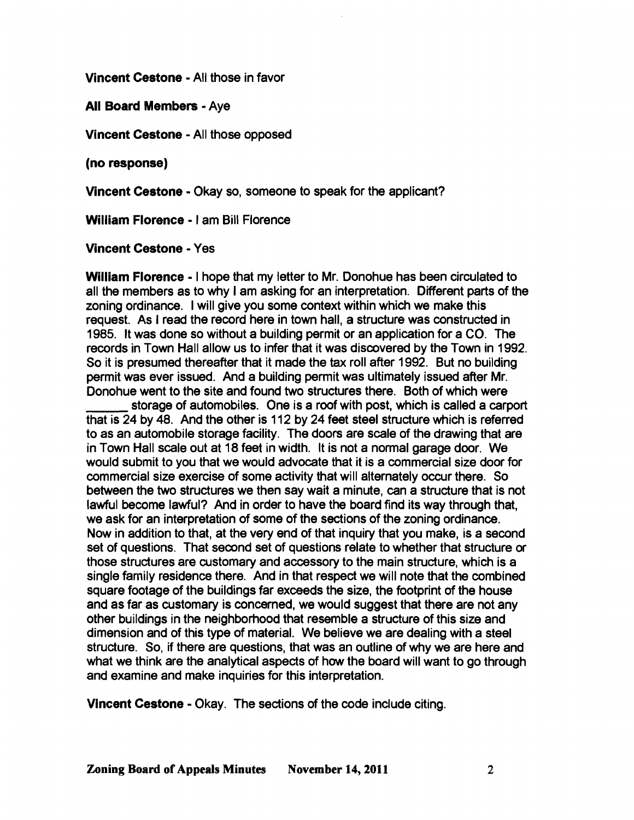Vincent Cestone • All those in favor

All Board Members· Aye

Vincent Cestone • All those opposed

(no response)

Vincent Cestone • Okay so, someone to speak for the applicant?

William Florence· I am Bill Florence

Vincent Cestone • Yes

William Florence· I hope that my letter to Mr. Donohue has been circulated to all the members as to why I am asking for an interpretation. Different parts of the zoning ordinance. I will give you some context within which we make this request. As I read the record here in town hall, a structure was constructed in 1985. It was done so without a building permit or an application for a CO. The records in Town Hall allow us to infer that it was discovered by the Town in 1992. So it is presumed thereafter that it made the tax roll after 1992. But no building permit was ever issued. And a building permit was ultimately issued after Mr. Donohue went to the site and found two structures there. Both of which were

storage of automobiles. One is a roof with post, which is called a carport that is 24 by 48. And the other is 112 by 24 feet steel structure which is referred to as an automobile storage facility. The doors are scale of the drawing that are in Town Hall scale out at 18 feet in width. It is not a normal garage door. We would submit to you that we would advocate that it is a commercial size door for commercial size exercise of some activity that will alternately occur there. So between the two structures we then say wait a minute, can a structure that is not lawful become lawful? And in order to have the board find its way through that, we ask for an interpretation of some of the sections of the zoning ordinance. Now in addition to that, at the very end of that inquiry that you make, is a second set of questions. That second set of questions relate to whether that structure or those structures are customary and accessory to the main structure, which is a single family residence there. And in that respect we will note that the combined square footage of the buildings far exceeds the size, the footprint of the house and as far as customary is concerned, we would suggest that there are not any other buildings in the neighborhood that resemble a structure of this size and dimension and of this type of material. We believe we are dealing with a steel structure. So, if there are questions, that was an outline of why we are here and what we think are the analytical aspects of how the board will want to go through and examine and make inquiries for this interpretation.

Vincent Cestone • Okay. The sections of the code include citing.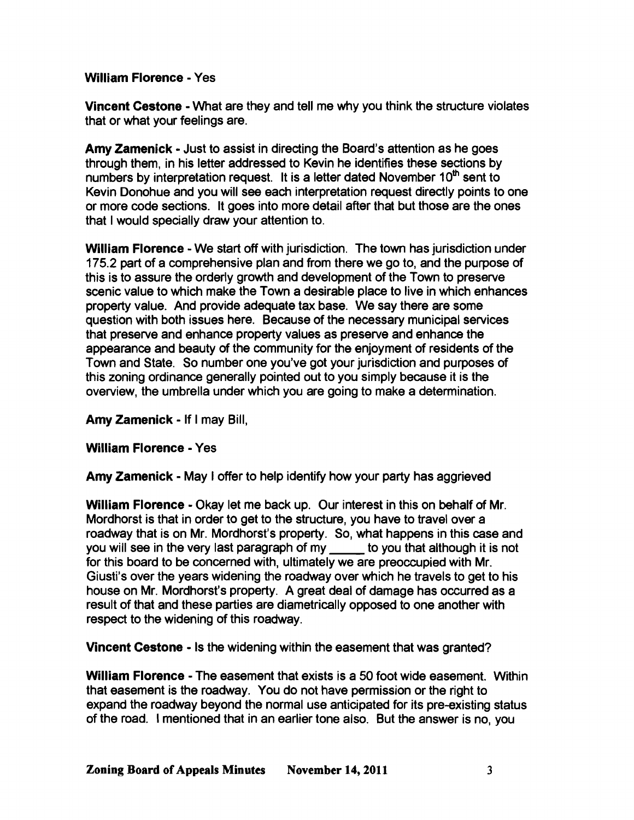## William Florence· Yes

Vincent Cestone • What are they and tell me why you think the structure violates that or what your feelings are.

Amy Zamenick • Just to assist in directing the Board's attention as he goes through them, in his letter addressed to Kevin he identifies these sections by numbers by interpretation request. It is a letter dated November 10<sup>th</sup> sent to Kevin Donohue and you will see each interpretation request directly points to one or more code sections. It goes into more detail after that but those are the ones that I would specially draw your attention to.

William Florence - We start off with jurisdiction. The town has jurisdiction under 175.2 part of a comprehensive plan and from there we go to, and the purpose of this is to assure the orderly growth and development of the Town to preserve scenic value to which make the Town a desirable place to live in which enhances property value. And provide adequate tax base. We say there are some question with both issues here. Because of the necessary municipal services that preserve and enhance property values as preserve and enhance the appearance and beauty of the community for the enjoyment of residents of the Town and State. So number one you've got your jurisdiction and purposes of this zoning ordinance generally pointed out to you simply because it is the overview, the umbrella under which you are going to make a determination.

Amy zamenick • If I may Bill,

## William Florence· Yes

Amy Zamenick • May I offer to help identify how your party has aggrieved

William Florence - Okay let me back up. Our interest in this on behalf of Mr. Mordhorst is that in order to get to the structure, you have to travel over a roadway that is on Mr. Mordhorst's property. So, what happens in this case and you will see in the very last paragraph of my to you that although it is not for this board to be concerned with, ultimately we are preoccupied with Mr. Giusti's over the years widening the roadway over which he travels to get to his house on Mr. Mordhorst's property. A great deal of damage has occurred as a result of that and these parties are diametrically opposed to one another with respect to the widening of this roadway.

Vincent Cestone • Is the widening within the easement that was granted?

William Florence - The easement that exists is a 50 foot wide easement. Within that easement is the roadway. You do not have permission or the right to expand the roadway beyond the normal use anticipated for its pre-existing status of the road. I mentioned that in an earlier tone also. But the answer is no, you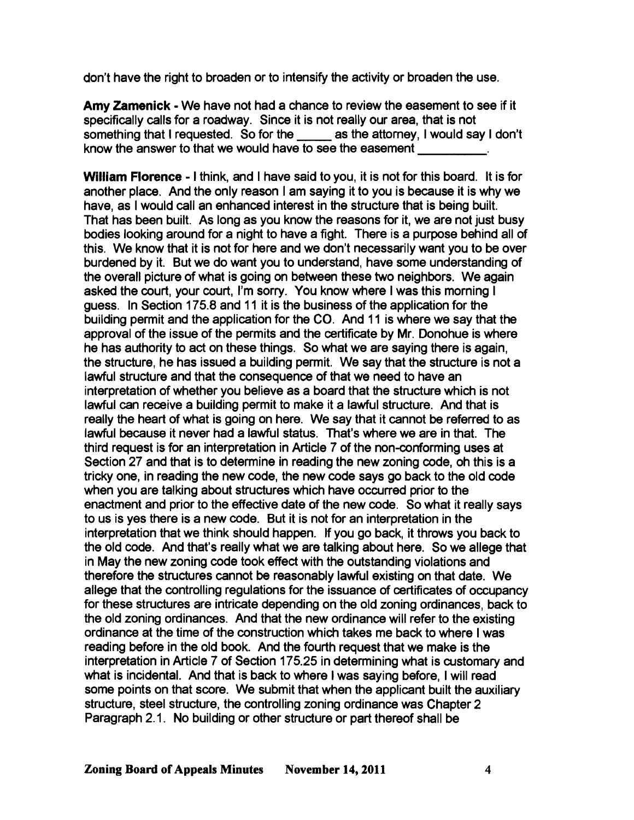don't have the right to broaden or to intensify the activity or broaden the use.

**Amy Zamenick - We have not had a chance to review the easement to see if it** specifically calls for a roadway. Since it is not really our area, that is not something that I requested. So for the \_\_\_\_\_ as the attorney, I would say I don't know the answer to that we would have to see the easement

**William Florence· I** think, and I have said to you, it is not for this board. It is for another place. And the only reason I am saying it to you is because it is why we have, as I would call an enhanced interest in the structure that is being built. That has been built. As long as you know the reasons for it, we are not just busy bodies looking around for a night to have a fight. There is a purpose behind all of this. We know that it is not for here and we don't necessarily want you to be over burdened by it. But we do want you to understand, have some understanding of the overall picture of what is going on between these two neighbors. We again asked the court, your court, I'm sorry. You know where I was this morning I guess. In Section 175.8 and 11 it is the business of the application for the building permit and the application for the CO. And 11 is where we say that the approval of the issue of the permits and the certificate by Mr. Donohue is where he has authority to act on these things. So what we are saying there is again, the structure, he has issued a building permit. We say that the structure is not a lawful structure and that the consequence of that we need to have an interpretation of whether you believe as a board that the structure which is not lawful can receive a building permit to make it a lawful structure. And that is really the heart of what is going on here. We say that it cannot be referred to as lawful because it never had a lawful status. That's where we are in that. The third request is for an interpretation in Article 7 of the non-conforming uses at Section 27 and that is to determine in reading the new zoning code, oh this is a tricky one, in reading the new code, the new code says go back to the old code when you are talking about structures which have occurred prior to the enactment and prior to the effective date of the new code. So what it really says to us is yes there is a new code. But it is not for an interpretation in the interpretation that we think should happen. If you go back, it throws you back to the old code. And that's really what we are talking about here. So we allege that in May the new zoning code took effect with the outstanding violations and therefore the structures cannot be reasonably lawful existing on that date. We allege that the controlling regulations for the issuance of certificates of occupancy for these structures are intricate depending on the old zoning ordinances, back to the old zoning ordinances. And that the new ordinance will refer to the existing ordinance at the time of the construction which takes me back to where I was reading before in the old book. And the fourth request that we make is the interpretation in Article 7 of Section 175.25 in determining what is customary and what is incidental. And that is back to where I was saying before, I will read some points on that score. We submit that when the applicant built the auxiliary structure, steel structure, the controlling zoning ordinance was Chapter 2 Paragraph 2.1. No building or other structure or part thereof shall be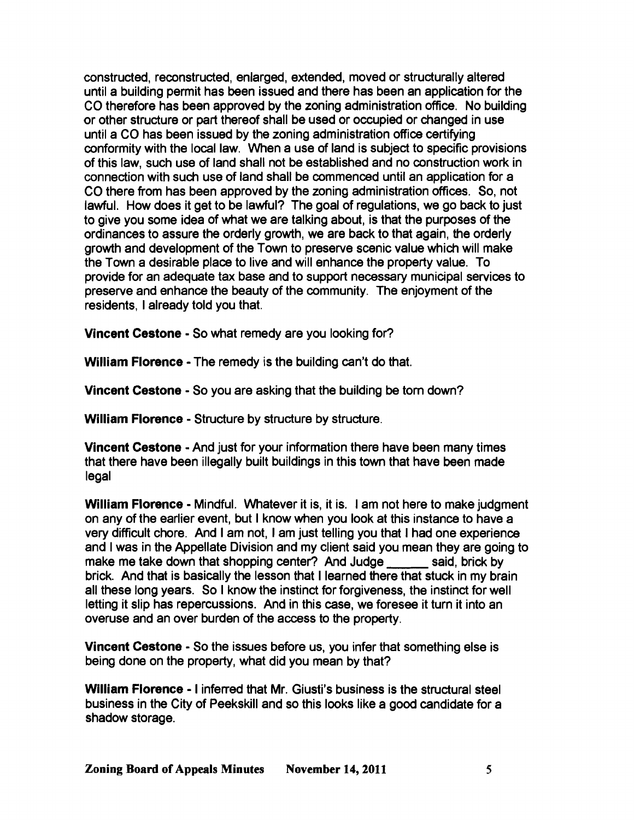constructed, reconstructed, enlarged, extended, moved or structurally altered until a building permit has been issued and there has been an application for the CO therefore has been approved by the zoning administration office. No building or other structure or part thereof shall be used or occupied or changed in use until a CO has been issued by the zoning administration office certifying conformity with the local law. When a use of land is subject to specific provisions of this law, such use of land shall not be established and no construction work in connection with such use of land shall be commenced until an application for a CO there from has been approved by the zoning administration offices. So, not lawful. How does it get to be lawful? The goal of regulations, we go back to just to give you some idea of what we are talking about, is that the purposes of the ordinances to assure the orderly growth, we are back to that again, the orderly growth and development of the Town to preserve scenic value which will make the Town a desirable place to live and will enhance the property value. To provide for an adequate tax base and to support necessary municipal services to preserve and enhance the beauty of the community. The enjoyment of the residents, I already told you that.

Vincent Cestone • So what remedy are you looking for?

William Florence - The remedy is the building can't do that.

Vincent Cestone • So you are asking that the building be tom down?

William Florence - Structure by structure by structure.

Vincent Cestone - And just for your information there have been many times that there have been illegally built buildings in this town that have been made legal

William Florence - Mindful. Whatever it is, it is. I am not here to make judgment on any of the earlier event, but I know when you look at this instance to have a very difficult chore. And I am not, I am just telling you that I had one experience and I was in the Appellate Division and my client said you mean they are going to make me take down that shopping center? And Judge said, brick by brick. And that is basically the lesson that I learned there that stuck in my brain all these long years. So I know the instinct for forgiveness, the instinct for well letting it slip has repercussions. And in this case, we foresee it turn it into an overuse and an over burden of the access to the property.

Vincent Cestone • So the issues before us, you infer that something else is being done on the property, what did you mean by that?

William Florence· I inferred that Mr. Giusti's business is the structural steel business in the City of Peekskill and so this looks like a good candidate for a shadow storage.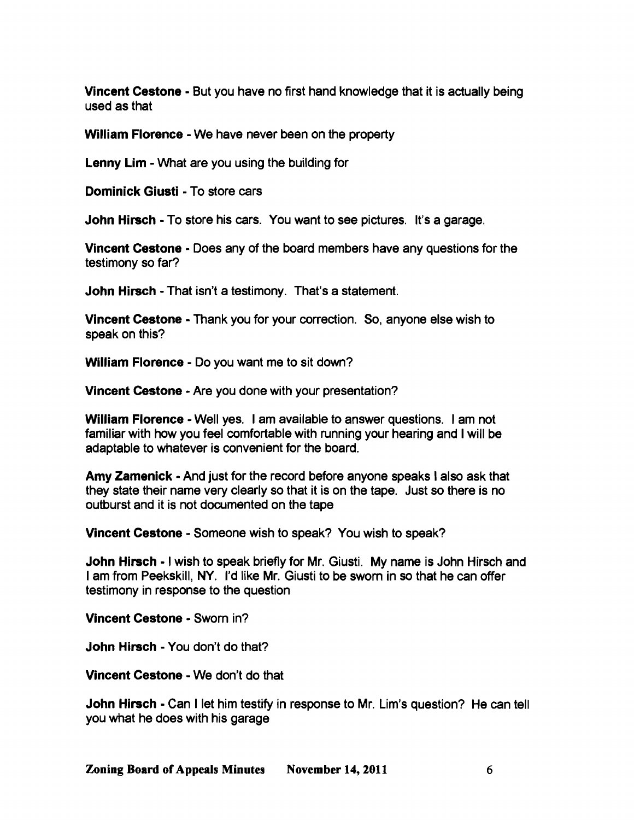Vincent Cestone - But you have no first hand knowledge that it is actually being used as that

William Florence - We have never been on the property

Lenny Lim - What are you using the building for

Dominick Giusti - To store cars

John Hirsch - To store his cars. You want to see pictures. It's a garage.

Vincent Cestone - Does any of the board members have any questions for the testimony so far?

John Hirsch - That isn't a testimony. That's a statement.

Vincent Cestone - Thank you for your correction. So, anyone else wish to speak on this?

William Florence - Do you want me to sit down?

Vincent Cestone - Are you done with your presentation?

William Florence - Well yes. I am available to answer questions. I am not familiar with how you feel comfortable with running your hearing and I will be adaptable to whatever is convenient for the board.

Amy Zamenick - And just for the record before anyone speaks I also ask that they state their name very clearly so that it is on the tape. Just so there is no outburst and it is not documented on the tape

Vincent Cestone - Someone wish to speak? You wish to speak?

John Hirsch - I wish to speak briefly for Mr. Giusti. My name is John Hirsch and I am from Peekskill, NY. I'd like Mr. Giusti to be sworn in so that he can offer testimony in response to the question

Vincent Cestone - Sworn in?

John Hirsch - You don't do that?

Vincent Cestone - We don't do that

John Hirsch - Can I let him testify in response to Mr. Lim's question? He can tell you what he does with his garage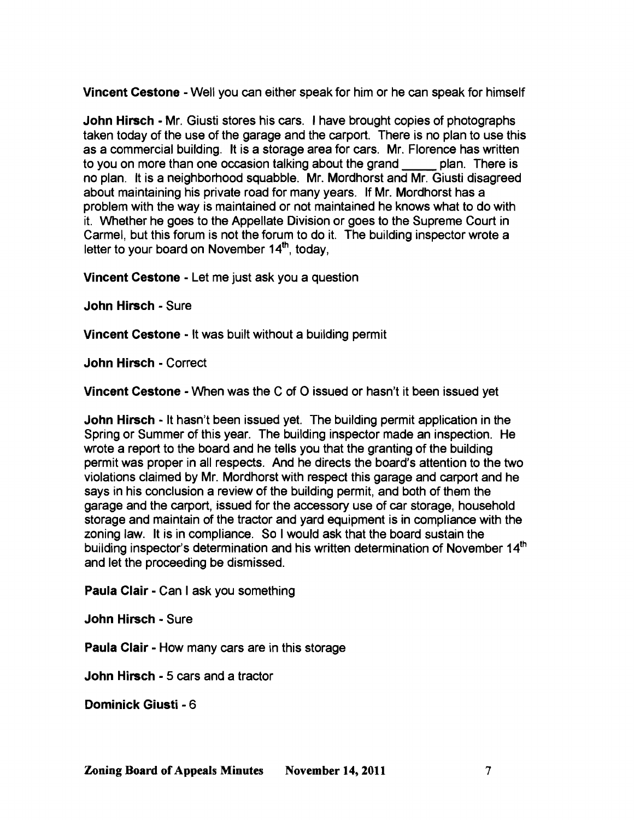Vincent Cestone • Well you can either speak for him or he can speak for himself

John Hirsch - Mr. Giusti stores his cars. I have brought copies of photographs taken today of the use of the garage and the carport. There is no plan to use this as a commercial building. It is a storage area for cars. Mr. Florence has written to you on more than one occasion talking about the grand plan. There is no plan. It is a neighborhood squabble. Mr. Mordhorst and Mr. Giusti disagreed about maintaining his private road for many years. If Mr. Mordhorst has a problem with the way is maintained or not maintained he knows what to do with it. Whether he goes to the Appellate Division or goes to the Supreme Court in Carmel, but this forum is not the forum to do it. The building inspector wrote a letter to your board on November 14<sup>th</sup>, today,

Vincent Cestone • Let me just ask you a question

John Hirsch· Sure

Vincent Cestone • It was built without a building permit

John Hirsch· Correct

Vincent Cestone· When was the C of 0 issued or hasn't it been issued yet

John Hirsch - It hasn't been issued yet. The building permit application in the Spring or Summer of this year. The building inspector made an inspection. He wrote a report to the board and he tells you that the granting of the building permit was proper in all respects. And he directs the board's attention to the two violations claimed by Mr. Mordhorst with respect this garage and carport and he says in his conclusion a review of the building permit, and both of them the garage and the carport, issued for the accessory use of car storage, household storage and maintain of the tractor and yard equipment is in compliance with the zoning law. It is in compliance. So I would ask that the board sustain the building inspector's determination and his written determination of November 14<sup>th</sup> and let the proceeding be dismissed.

Paula Clair - Can I ask you something

John Hirsch· Sure

Paula Clair - How many cars are in this storage

John Hirsch· 5 cars and a tractor

Dominick Giusti - 6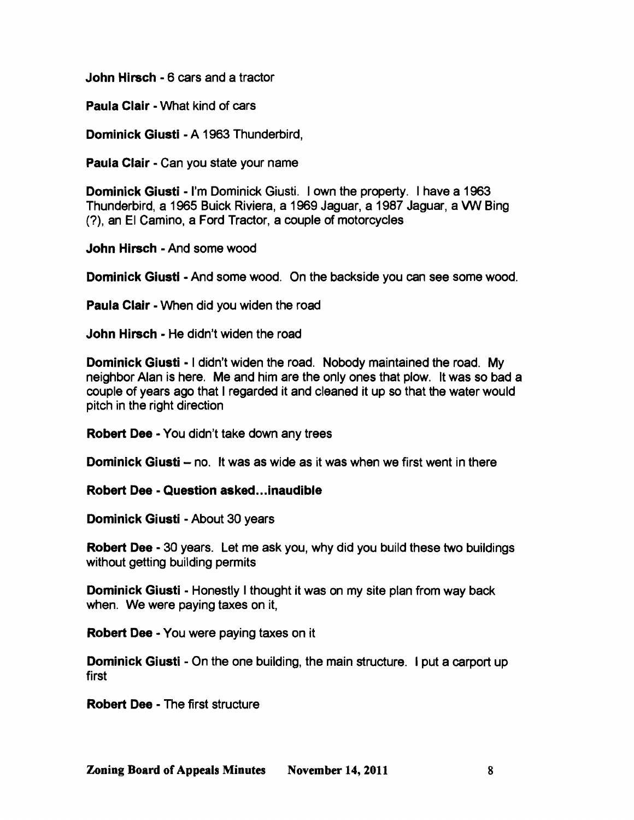John Hirsch· 6 cars and a tractor

Paula Clair - What kind of cars

Dominick Giusti - A 1963 Thunderbird,

Paula Clair - Can you state your name

Dominick Giusti - I'm Dominick Giusti. I own the property. I have a 1963 Thunderbird, a 1965 Buick Riviera, a 1969 Jaguar, a 1987 Jaguar, a VW Bing (?), an EI Camino, a Ford Tractor, a couple of motorcycles

John Hirsch • And some wood

Dominick Giusti • And some wood. On the backside you can see some wood.

Paula Clair - When did you widen the road

John Hirsch· He didn't widen the road

Dominick Giusti • I didn't widen the road. Nobody maintained the road. My neighbor Alan is here. Me and him are the only ones that plow. It was so bad a couple of years ago that I regarded it and cleaned it up so that the water would pitch in the right direction

Robert Dee· You didn't take down any trees

Dominick Giusti – no. It was as wide as it was when we first went in there

Robert Dee· Question asked...inaudible

Dominick Giusti - About 30 years

Robert Dee - 30 years. Let me ask you, why did you build these two buildings without getting building permits

Dominick Giusti • Honestly I thought it was on my site plan from way back when. We were paying taxes on it,

Robert Dee· You were paying taxes on it

**Dominick Giusti** - On the one building, the main structure. I put a carport up first

Robert Dee· The first structure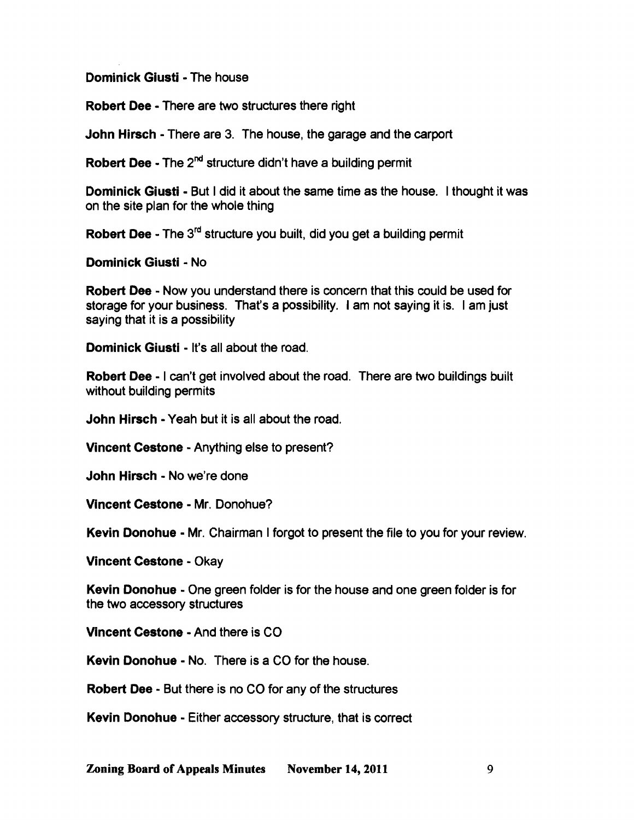Dominick Giusti • The house

Robert Dee· There are two structures there right

John Hirsch· There are 3. The house, the garage and the carport

Robert Dee - The 2<sup>nd</sup> structure didn't have a building permit

Dominick Giusti - But I did it about the same time as the house. I thought it was on the site plan for the whole thing

Robert Dee - The 3<sup>rd</sup> structure you built, did you get a building permit

Dominick Giusti • No

Robert Dee - Now you understand there is concern that this could be used for storage for your business. That's a possibility. I am not saying it is. I am just saying that it is a possibility

Dominick Giusti - It's all about the road.

Robert Dee - I can't get involved about the road. There are two buildings built without building permits

John Hirsch· Yeah but it is all about the road.

Vincent Cestone • Anything else to present?

John Hirsch· No we're done

Vincent Cestone - Mr. Donohue?

Kevin Donohue - Mr. Chairman I forgot to present the file to you for your review.

Vincent Cestone • Okay

Kevin Donohue - One green folder is for the house and one green folder is for the two accessory structures

Vincent Cestone • And there is CO

Kevin Donohue - No. There is a CO for the house.

Robert Dee· But there is no CO for any of the structures

Kevin Donohue - Either accessory structure, that is correct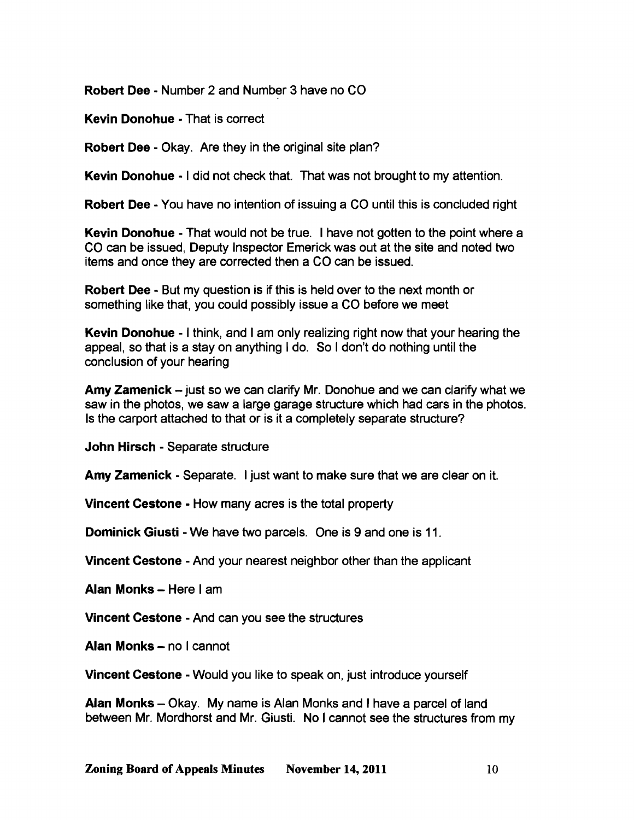Robert Dee· Number 2 and Number 3 have no CO

Kevin Donohue - That is correct

Robert Dee - Okay. Are they in the original site plan?

Kevin Donohue - I did not check that. That was not brought to my attention.

Robert Dee - You have no intention of issuing a CO until this is concluded right

Kevin Donohue - That would not be true. I have not gotten to the point where a CO can be issued, Deputy Inspector Emerick was out at the site and noted two items and once they are corrected then a CO can be issued.

Robert Dee· But my question is if this is held over to the next month or something like that, you could possibly issue a CO before we meet

Kevin Donohue - I think, and I am only realizing right now that your hearing the appeal, so that is a stay on anything I do. So I don't do nothing until the conclusion of your hearing

Amy Zamenick – just so we can clarify Mr. Donohue and we can clarify what we saw in the photos, we saw a large garage structure which had cars in the photos. Is the carport attached to that or is it a completely separate structure?

John Hirsch - Separate structure

Amy Zamenick • Separate. I just want to make sure that we are clear on it.

Vincent Cestone • How many acres is the total property

**Dominick Giusti-We have two parcels. One is 9 and one is 11.** 

Vincent Cestone • And your nearest neighbor other than the applicant

Alan Monks - Here I am

Vincent Cestone • And can you see the structures

Alan Monks - no I cannot

Vincent Cestone • Would you like to speak on, just introduce yourself

Alan Monks - Okay. My name is Alan Monks and I have a parcel of land between Mr. Mordhorst and Mr. Giusti. No I cannot see the structures from my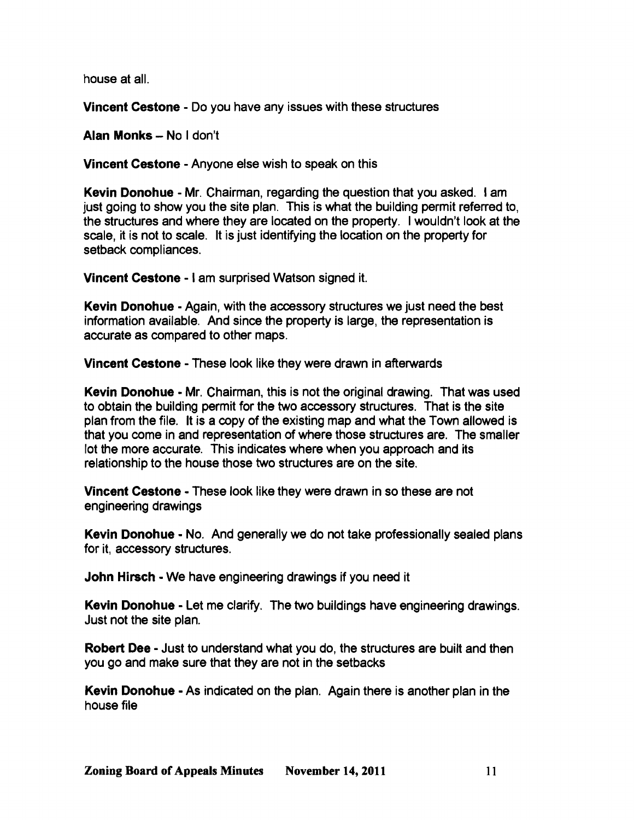house at all.

Vincent Cestone - Do you have any issues with these structures

Alan Monks - No I don't

Vincent Cestone - Anyone else wish to speak on this

Kevin Donohue - Mr. Chairman, regarding the question that you asked. I am just going to show you the site plan. This is what the building permit referred to, the structures and where they are located on the property. I wouldn't look at the scale, it is not to scale. It is just identifying the location on the property for setback compliances.

Vincent Cestone - I am surprised Watson signed it.

Kevin Donohue - Again, with the accessory structures we just need the best information available. And since the property is large, the representation is accurate as compared to other maps.

Vincent Cestone - These look like they were drawn in afterwards

Kevin Donohue - Mr. Chairman, this is not the original drawing. That was used to obtain the building permit for the two accessory structures. That is the site plan from the file. It is a copy of the existing map and what the Town allowed is that you come in and representation of where those structures are. The smaller lot the more accurate. This indicates where when you approach and its relationship to the house those two structures are on the site.

Vincent Cestone - These look like they were drawn in so these are not engineering drawings

Kevin Donohue - No. And generally we do not take professionally sealed plans for it, accessory structures.

John Hirsch - We have engineering drawings if you need it

Kevin Donohue - Let me clarify. The two buildings have engineering drawings. Just not the site plan.

Robert Dee - Just to understand what you do, the structures are built and then you go and make sure that they are not in the setbacks

Kevin Donohue - As indicated on the plan. Again there is another plan in the house file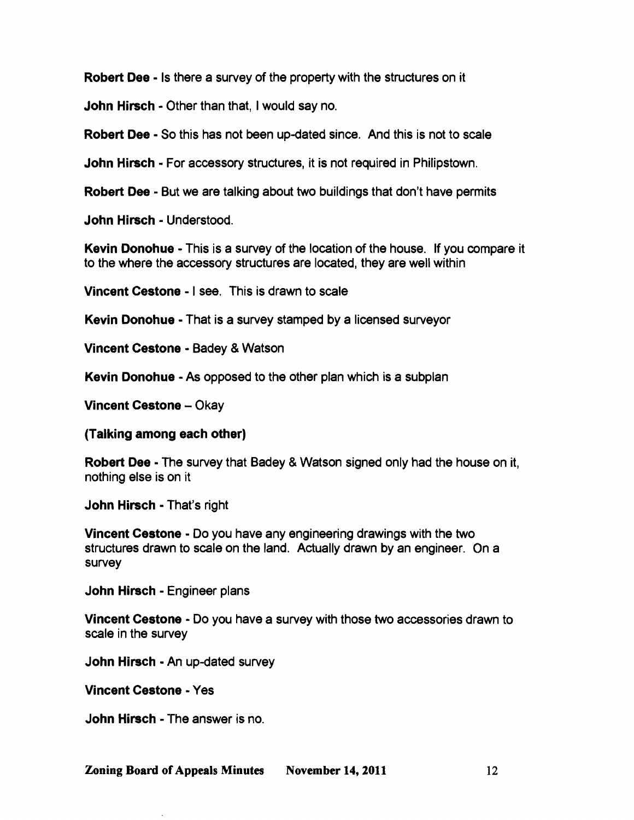Robert Dee - Is there a survey of the property with the structures on it

John Hirsch· Other than that, I would say no.

Robert Dee· So this has not been up-dated since. And this is not to scale

**John Hirsch** - For accessory structures, it is not required in Philipstown.

Robert Dee - But we are talking about two buildings that don't have permits

John Hirsch· Understood.

Kevin Donohue - This is a survey of the location of the house. If you compare it to the where the accessory structures are located, they are well within

Vincent Cestone • I see. This is drawn to scale

Kevin Donohue - That is a survey stamped by a licensed surveyor

Vincent Cestone - Badey & Watson

Kevin Donohue - As opposed to the other plan which is a subplan

Vincent Cestone - Okay

(Talking among each other)

Robert Dee· The survey that Badey & Watson signed only had the house on it, nothing else is on it

John Hirsch· That's right

Vincent Cestone • Do you have any engineering drawings with the two structures drawn to scale on the land. Actually drawn by an engineer. On a survey

John Hirsch· Engineer plans

Vincent Cestone • Do you have a survey with those two accessories drawn to scale in the survey

John Hirsch· An up-dated survey

Vincent Cestone· Yes

John Hirsch· The answer is no.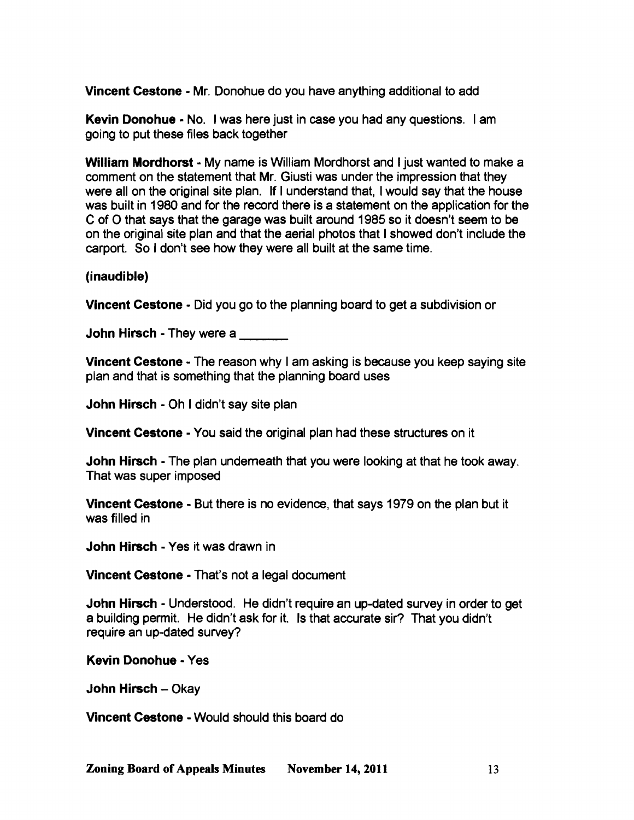Vincent Cestone - Mr. Donohue do you have anything additional to add

Kevin Donohue - No. I was here just in case you had any questions. I am going to put these files back together

William Mordhorst - My name is William Mordhorst and I just wanted to make a comment on the statement that Mr. Giusti was under the impression that they were all on the original site plan. If I understand that, I would say that the house was built in 1980 and for the record there is a statement on the application for the C of 0 that says that the garage was built around 1985 so it doesn't seem to be on the original site plan and that the aerial photos that I showed don't include the carport. So I don't see how they were all built at the same time.

#### (inaudible)

Vincent Cestone - Did you go to the planning board to get a subdivision or

**John Hirsch** - They were a **witch the State** 

Vincent Cestone - The reason why I am asking is because you keep saying site plan and that is something that the planning board uses

John Hirsch - Oh I didn't say site plan

Vincent Cestone - You said the original plan had these structures on it

John Hirsch - The plan undemeath that you were looking at that he took away. That was super imposed

Vincent Cestone - But there is no evidence, that says 1979 on the plan but it was filled in

John Hirsch - Yes it was drawn in

Vincent Cestone - That's not a legal document

John Hirsch - Understood. He didn't require an up-dated survey in order to get a building permit. He didn't ask for it. Is that accurate sir? That you didn't require an up-dated survey?

Kevin Donohue - Yes

John Hirsch – Okay

Vincent Cestone - Would should this board do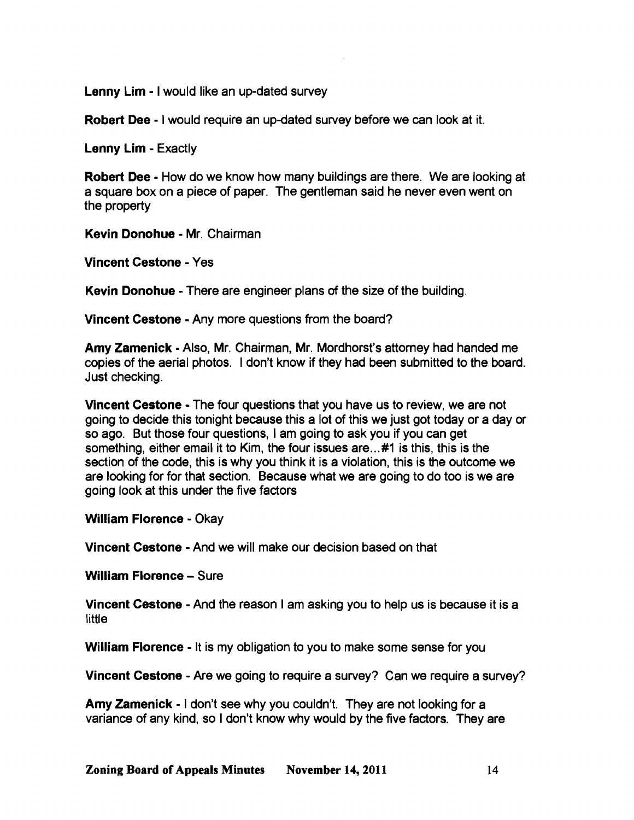Lenny Lim - I would like an up-dated survey

Robert Dee - I would require an up-dated survey before we can look at it.

Lenny Lim - Exactly

Robert Dee - How do we know how many buildings are there. We are looking at a square box on a piece of paper. The gentleman said he never even went on the property

Kevin Donohue - Mr. Chairman

Vincent Cestone - Yes

Kevin Donohue - There are engineer plans of the size of the building.

Vincent Cestone - Any more questions from the board?

Amy Zamenick - Also, Mr. Chairman, Mr. Mordhorst's attomey had handed me copies of the aerial photos. I don't know if they had been submitted to the board. Just checking.

Vincent Cestone - The four questions that you have us to review, we are not going to decide this tonight because this a lot of this we just got today or a day or so ago. But those four questions, 1am going to ask you if you can get something, either email it to Kim, the four issues are...#1 is this, this is the section of the code, this is why you think it is a violation, this is the outcome we are looking for for that section. Because what we are going to do too is we are going look at this under the five factors

William Florence - Okay

Vincent Cestone - And we will make our decision based on that

William Florence - Sure

Vincent Cestone - And the reason I am asking you to help us is because it is a **little** 

William Florence - It is my obligation to you to make some sense for you

Vincent Cestone - Are we going to require a survey? Can we require a survey?

Amy Zamenick - I don't see why you couldn't. They are not looking for a variance of any kind, so I don't know why would by the five factors. They are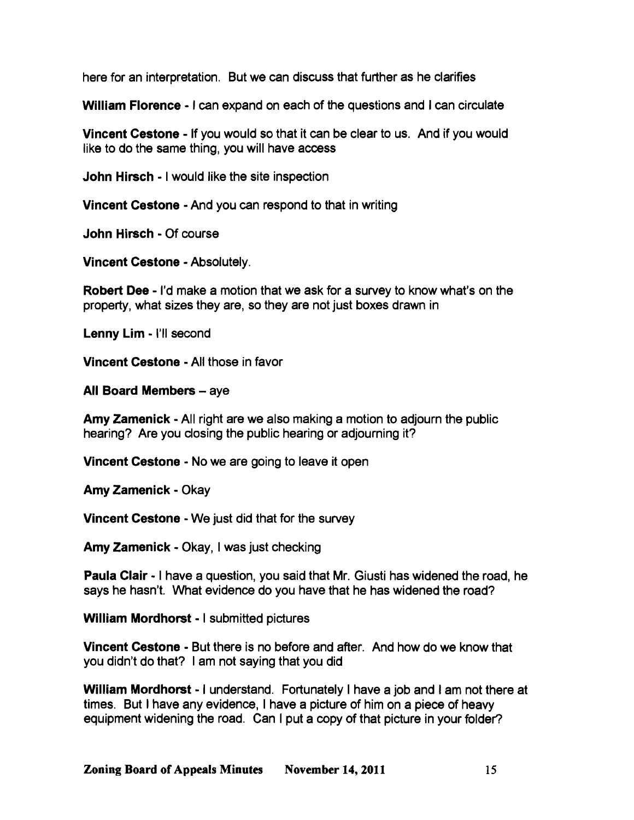here for an interpretation. But we can discuss that further as he clarifies

William Florence - I can expand on each of the questions and I can circulate

**Vincent Cestone - If you would so that it can be clear to us. And if you would** like to do the same thing, you will have access

John Hirsch - I would like the site inspection

Vincent Cestone - And you can respond to that in writing

John Hirsch - Of course

Vincent Cestone - Absolutely.

Robert Dee - I'd make a motion that we ask for a survey to know what's on the property, what sizes they are, so they are not just boxes drawn in

Lenny Lim - I'll second

Vincent Cestone - All those in favor

All Board Members - aye

Amy Zamenick - All right are we also making a motion to adjourn the public hearing? Are you closing the public hearing or adjourning it?

Vincent Cestone - No we are going to leave it open

Amy Zamenick - Okay

Vincent Cestone - We just did that for the survey

Amy Zamenick - Okay, I was just checking

Paula Clair - I have a question, you said that Mr. Giusti has widened the road, he says he hasn't. What evidence do you have that he has widened the road?

William Mordhorst - I submitted pictures

Vincent Cestone - But there is no before and after. And how do we know that you didn't do that? I am not saying that you did

William Mordhorst - I understand. Fortunately I have a job and I am not there at times. But I have any evidence, I have a picture of him on a piece of heavy equipment widening the road. Can I put a copy of that picture in your folder?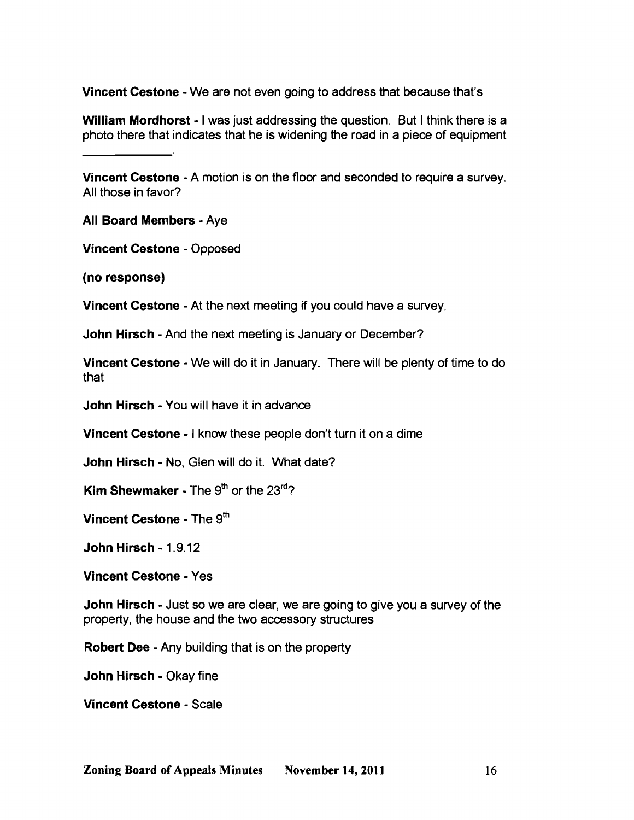Vincent Cestone - We are not even going to address that because that's

William Mordhorst - I was just addressing the question. But I think there is a photo there that indicates that he is widening the road in a piece of equipment

Vincent Cestone • A motion is on the floor and seconded to require a survey. All those in favor?

All Board Members· Aye

Vincent Cestone • Opposed

(no response)

Vincent Cestone • At the next meeting if you could have a survey.

John Hirsch - And the next meeting is January or December?

Vincent Cestone • We will do it in January. There will be plenty of time to do that

John Hirsch· You will have it in advance

Vincent Cestone • I know these people don't turn it on a dime

John Hirsch - No, Glen will do it. What date?

Kim Shewmaker - The  $9<sup>th</sup>$  or the 23<sup>rd</sup>?

Vincent Cestone - The 9<sup>th</sup>

John Hirsch· 1.9.12

Vincent Cestone • Yes

John Hirsch - Just so we are clear, we are going to give you a survey of the property, the house and the two accessory structures

Robert Dee - Any building that is on the property

John Hirsch • Okay fine

**Vincent Cestone - Scale**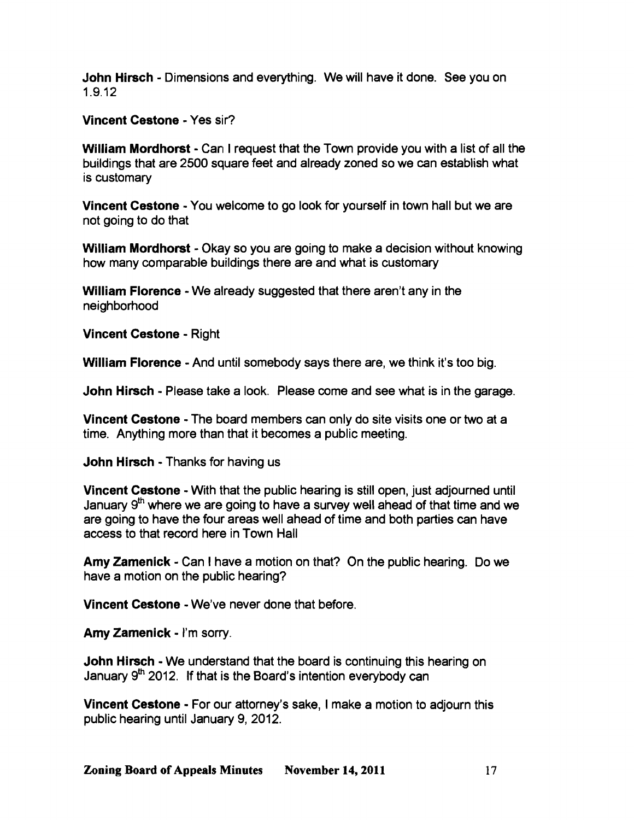John Hirsch - Dimensions and everything. We will have it done. See you on 1.9.12

Vincent Cestone - Yes sir?

William Mordhorst - Can I request that the Town provide you with a list of all the buildings that are 2500 square feet and already zoned so we can establish what is customary

Vincent Cestone - You welcome to go look for yourself in town hall but we are not going to do that

William Mordhorst - Okay so you are going to make a decision without knowing how many comparable buildings there are and what is customary

William Florence - We already suggested that there aren't any in the neighborhood

Vincent Cestone - Right

William Florence - And until somebody says there are, we think it's too big.

John Hirsch - Please take a look. Please come and see what is in the garage.

Vincent Cestone - The board members can only do site visits one or two at a time. Anything more than that it becomes a public meeting.

John Hirsch - Thanks for having us

Vincent Cestone - With that the public hearing is still open, just adjourned until January 9<sup>th</sup> where we are going to have a survey well ahead of that time and we are going to have the four areas well ahead of time and both parties can have access to that record here in Town Hall

Amy Zamenick - Can I have a motion on that? On the public hearing. Do we have a motion on the public hearing?

Vincent Cestone - We've never done that before.

Amy Zamenick - I'm sorry.

John Hirsch - We understand that the board is continuing this hearing on January  $9<sup>th</sup>$  2012. If that is the Board's intention everybody can

Vincent Cestone - For our attorney's sake, I make a motion to adjourn this public hearing until January 9,2012.